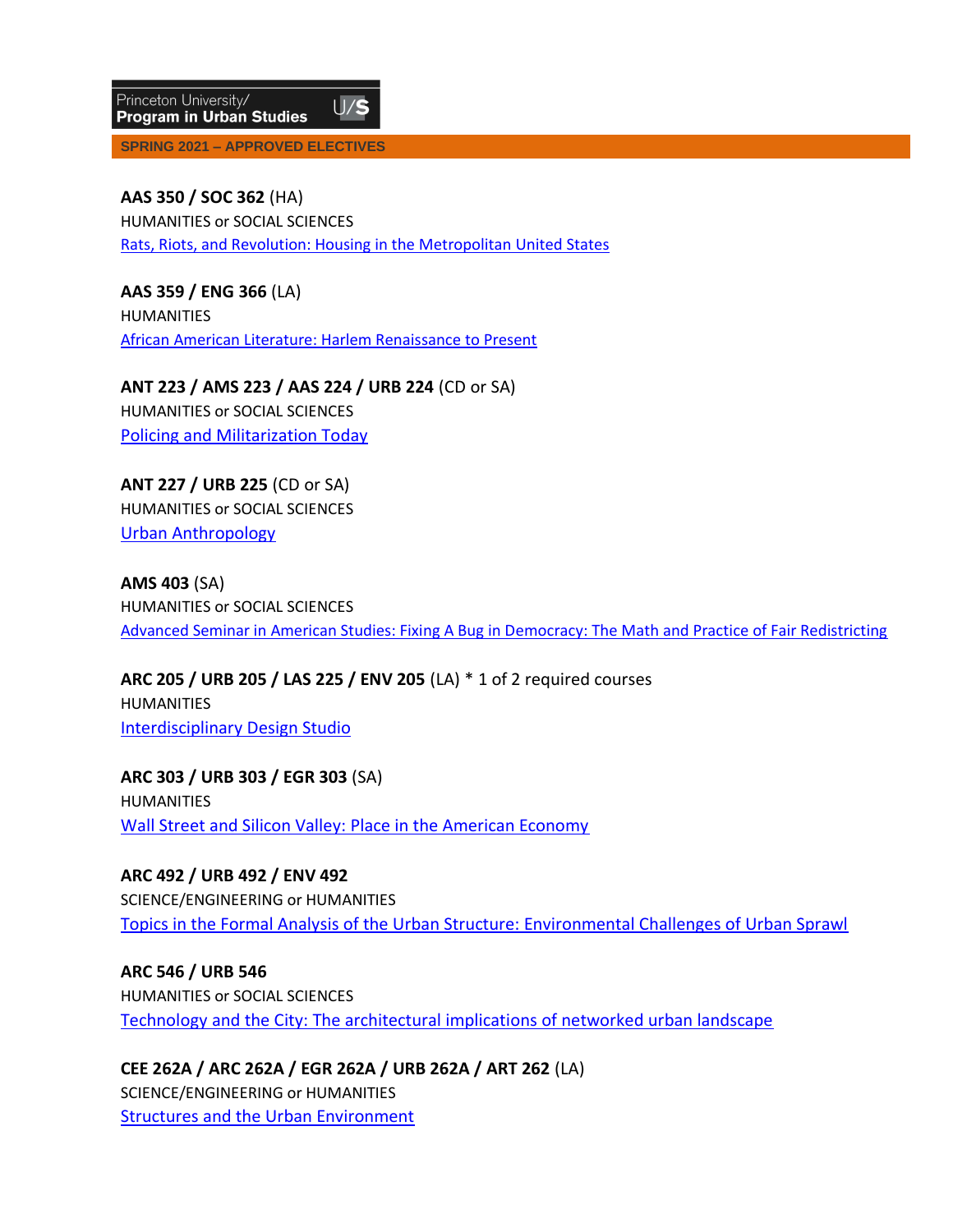**SPRING 2021 – APPROVED ELECTIVES**

**AAS 350 / SOC 362** (HA) HUMANITIES or SOCIAL SCIENCES [Rats, Riots, and Revolution: Housing in the Metropolitan United States](https://registrar.princeton.edu/course-offerings/course-details?term=1214&courseid=013022)

**AAS 359 / ENG 366** (LA) HUMANITIES [African American Literature: Harlem Renaissance to Present](https://registrar.princeton.edu/course-offerings/course-details?term=1214&courseid=009558)

**ANT 223 / AMS 223 / AAS 224 / URB 224** (CD or SA) HUMANITIES or SOCIAL SCIENCES [Policing and Militarization Today](https://registrar.princeton.edu/course-offerings/course-details?term=1214&courseid=014873)

**ANT 227 / URB 225** (CD or SA) HUMANITIES or SOCIAL SCIENCES [Urban Anthropology](https://registrar.princeton.edu/course-offerings/course-details?term=1214&courseid=015165)

**AMS 403** (SA) HUMANITIES or SOCIAL SCIENCES [Advanced Seminar in American Studies: Fixing A Bug in Democracy: The Math and Practice of Fair Redistricting](https://registrar.princeton.edu/course-offerings/course-details?term=1214&courseid=014668)

**ARC 205 / URB 205 / LAS 225 / ENV 205** (LA) \* 1 of 2 required courses HUMANITIES [Interdisciplinary Design Studio](https://registrar.princeton.edu/course-offerings/course-details?term=1214&courseid=014225)

**ARC 303 / URB 303 / EGR 303** (SA) HUMANITIES [Wall Street and Silicon Valley: Place in the American Economy](https://registrar.princeton.edu/course-offerings/course-details?term=1214&courseid=014587)

**ARC 492 / URB 492 / ENV 492**  SCIENCE/ENGINEERING or HUMANITIES [Topics in the Formal Analysis of the Urban Structure: Environmental Challenges of Urban Sprawl](https://registrar.princeton.edu/course-offerings/course-details?term=1214&courseid=000317)

**ARC 546 / URB 546** HUMANITIES or SOCIAL SCIENCES [Technology and the City: The architectural implications of networked urban landscape](https://registrar.princeton.edu/course-offerings/course-details?term=1214&courseid=015818)

**CEE 262A / ARC 262A / EGR 262A / URB 262A / ART 262** (LA) SCIENCE/ENGINEERING or HUMANITIES [Structures and the Urban Environment](https://registrar.princeton.edu/course-offerings/course-details?term=1214&courseid=007945)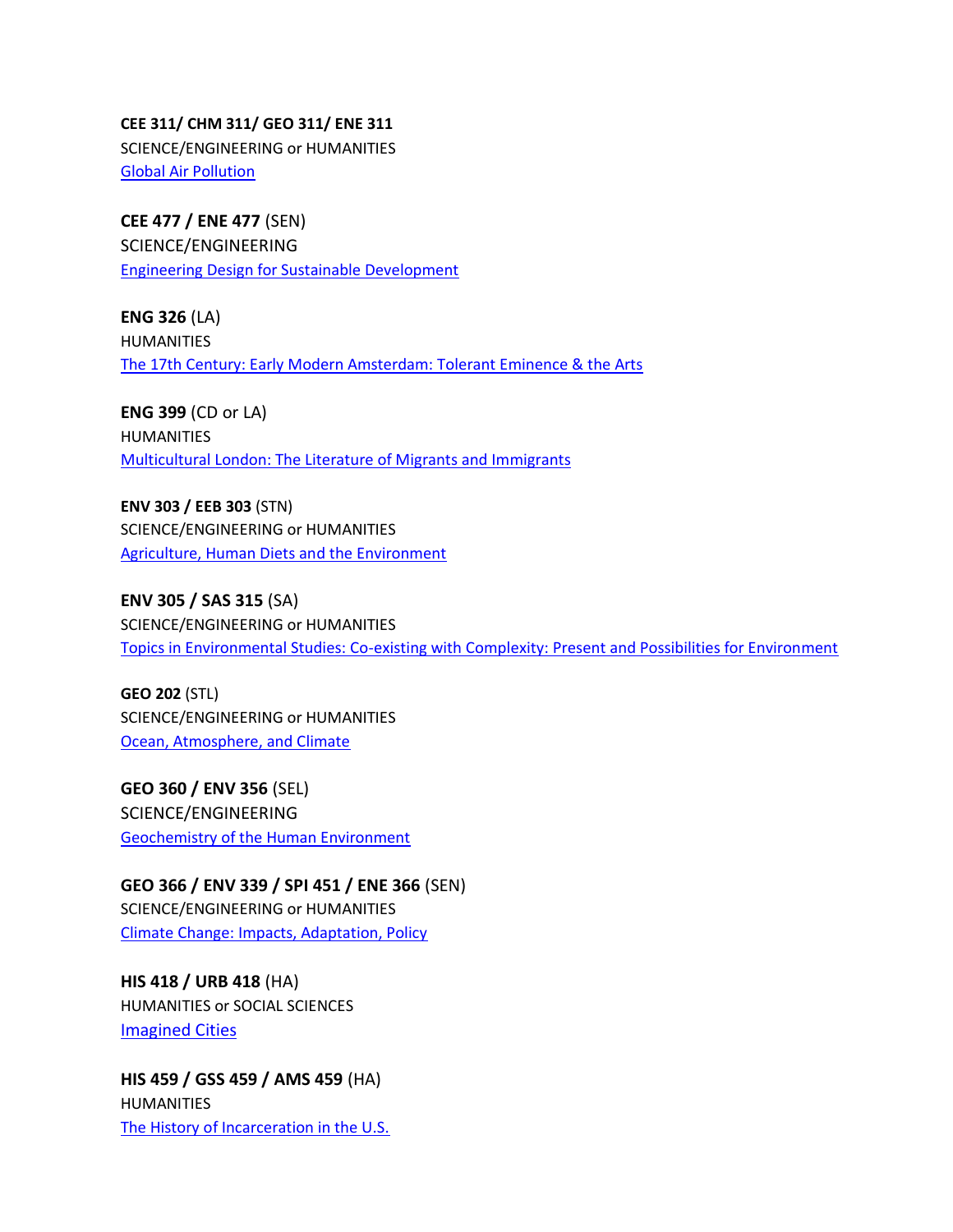## **CEE 311/ CHM 311/ GEO 311/ ENE 311**

SCIENCE/ENGINEERING or HUMANITIES [Global Air Pollution](https://registrar.princeton.edu/course-offerings/course-details?term=1214&courseid=011097)

**CEE 477 / ENE 477** (SEN) SCIENCE/ENGINEERING [Engineering Design for Sustainable Development](https://registrar.princeton.edu/course-offerings/course-details?term=1214&courseid=007967)

**ENG 326** (LA) HUMANITIES [The 17th Century: Early Modern Amsterdam: Tolerant Eminence & the Arts](https://registrar.princeton.edu/course-offerings/course-details?term=1214&courseid=002612)

**ENG 399** (CD or LA) HUMANITIES [Multicultural London: The Literature of Migrants and Immigrants](https://registrar.princeton.edu/course-offerings/course-details?term=1214&courseid=015867)

**ENV 303 / EEB 303** (STN) SCIENCE/ENGINEERING or HUMANITIES [Agriculture, Human Diets and the Environment](https://registrar.princeton.edu/course-offerings/course-details?term=1214&courseid=014462)

**ENV 305 / SAS 315** (SA) SCIENCE/ENGINEERING or HUMANITIES [Topics in Environmental Studies: Co-existing with Complexity: Present and Possibilities for Environment](https://registrar.princeton.edu/course-offerings/course-details?term=1214&courseid=005800)

**GEO 202** (STL) SCIENCE/ENGINEERING or HUMANITIES [Ocean, Atmosphere, and Climate](https://registrar.princeton.edu/course-offerings/course-details?term=1214&courseid=002963)

**GEO 360 / ENV 356** (SEL) SCIENCE/ENGINEERING [Geochemistry of the Human Environment](https://registrar.princeton.edu/course-offerings/course-details?term=1214&courseid=014062)

**GEO 366 / ENV 339 / SPI 451 / ENE 366** (SEN) SCIENCE/ENGINEERING or HUMANITIES [Climate Change: Impacts, Adaptation, Policy](https://registrar.princeton.edu/course-offerings/course-details?term=1214&courseid=008591)

**HIS 418 / URB 418** (HA) HUMANITIES or SOCIAL SCIENCES [Imagined Cities](https://registrar.princeton.edu/course-offerings/course-details?term=1214&courseid=010346)

**HIS 459 / GSS 459 / AMS 459** (HA) HUMANITIES [The History of Incarceration in the U.S.](https://registrar.princeton.edu/course-offerings/course-details?term=1214&courseid=013008)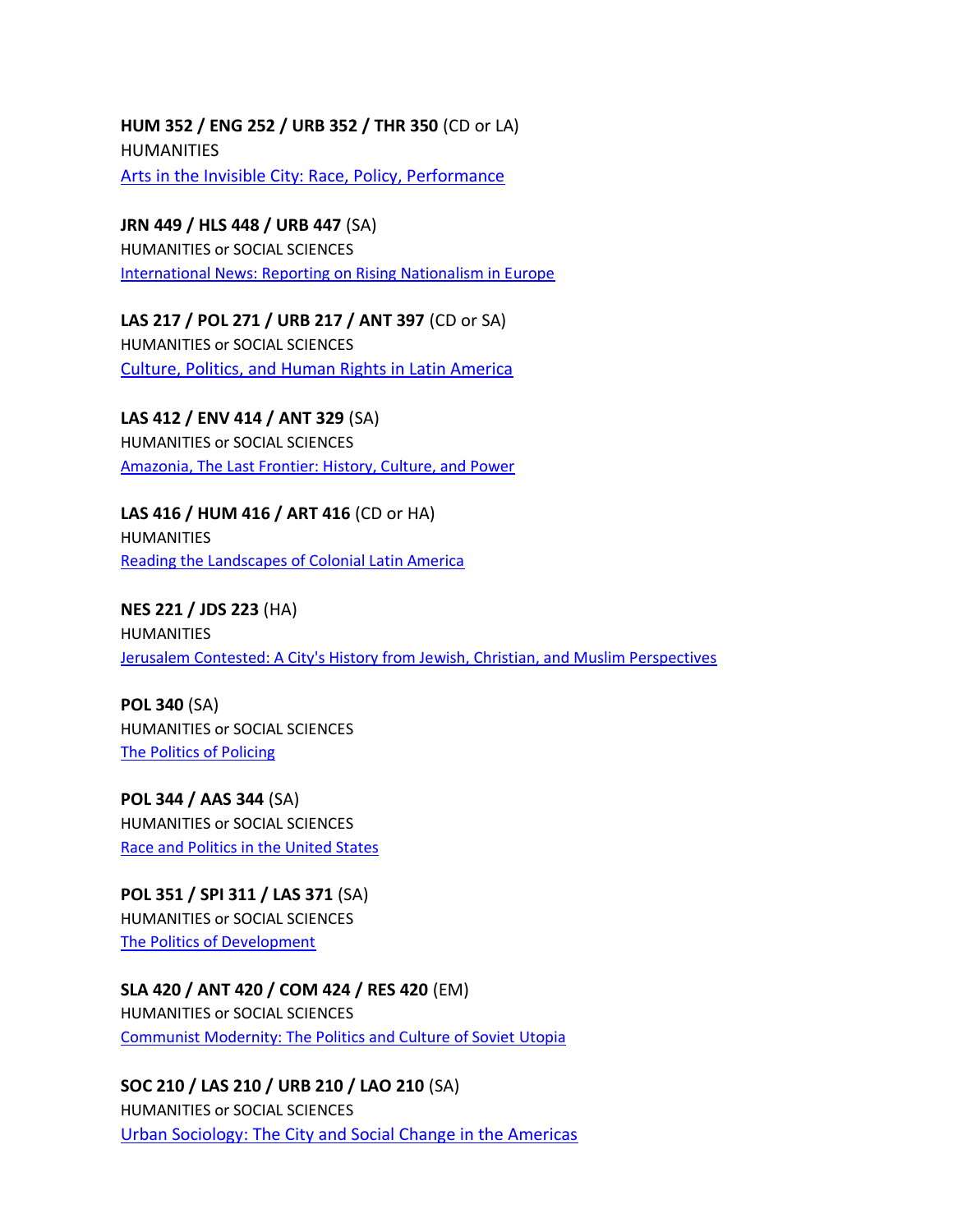**HUM 352 / ENG 252 / URB 352 / THR 350** (CD or LA) **HUMANITIES** [Arts in the Invisible City: Race, Policy, Performance](https://registrar.princeton.edu/course-offerings/course-details?term=1214&courseid=015916)

**JRN 449 / HLS 448 / URB 447** (SA) HUMANITIES or SOCIAL SCIENCES [International News: Reporting on Rising Nationalism in Europe](https://registrar.princeton.edu/course-offerings/course-details?term=1214&courseid=009382)

**LAS 217 / POL 271 / URB 217 / ANT 397** (CD or SA) HUMANITIES or SOCIAL SCIENCES [Culture, Politics, and Human Rights in Latin America](https://registrar.princeton.edu/course-offerings/course-details?term=1214&courseid=015920)

**LAS 412 / ENV 414 / ANT 329** (SA) HUMANITIES or SOCIAL SCIENCES [Amazonia, The Last Frontier: History, Culture, and Power](https://registrar.princeton.edu/course-offerings/course-details?term=1214&courseid=015939)

**LAS 416 / HUM 416 / ART 416** (CD or HA) HUMANITIES [Reading the Landscapes of Colonial Latin America](https://registrar.princeton.edu/course-offerings/course-details?term=1214&courseid=015962)

**NES 221 / JDS 223** (HA) HUMANITIES [Jerusalem Contested: A City's History from Jewish, Christian, and Muslim Perspectives](https://registrar.princeton.edu/course-offerings/course-details?term=1214&courseid=012911)

**POL 340** (SA) HUMANITIES or SOCIAL SCIENCES [The Politics of Policing](https://registrar.princeton.edu/course-offerings/course-details?term=1214&courseid=015890)

**POL 344 / AAS 344** (SA) HUMANITIES or SOCIAL SCIENCES [Race and Politics in the United States](https://registrar.princeton.edu/course-offerings/course-details?term=1214&courseid=013122)

**POL 351 / SPI 311 / LAS 371** (SA) HUMANITIES or SOCIAL SCIENCES [The Politics of Development](https://registrar.princeton.edu/course-offerings/course-details?term=1214&courseid=008134)

**SLA 420 / ANT 420 / COM 424 / RES 420** (EM) HUMANITIES or SOCIAL SCIENCES [Communist Modernity: The Politics and Culture of Soviet Utopia](https://registrar.princeton.edu/course-offerings/course-details?term=1214&courseid=012320)

**SOC 210 / LAS 210 / URB 210 / LAO 210** (SA) HUMANITIES or SOCIAL SCIENCES [Urban Sociology: The City and Social Change in the Americas](https://registrar.princeton.edu/course-offerings/course-details?term=1214&courseid=006397)